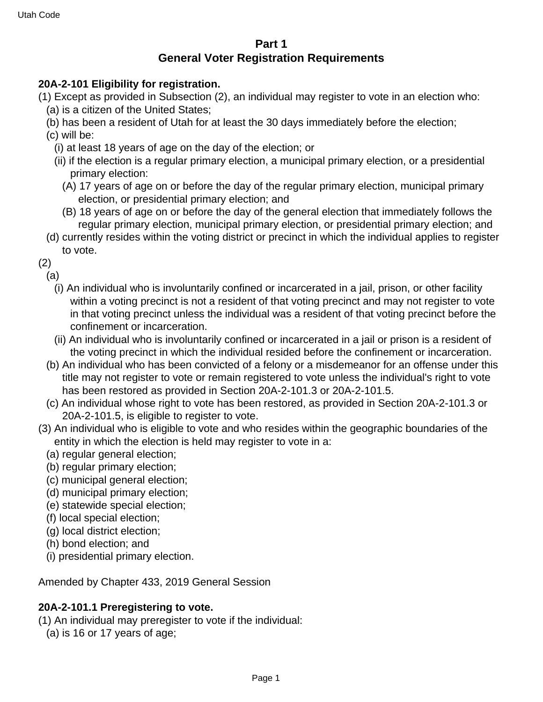# **Part 1 General Voter Registration Requirements**

## **20A-2-101 Eligibility for registration.**

- (1) Except as provided in Subsection (2), an individual may register to vote in an election who:
	- (a) is a citizen of the United States;
	- (b) has been a resident of Utah for at least the 30 days immediately before the election;
	- (c) will be:
		- (i) at least 18 years of age on the day of the election; or
		- (ii) if the election is a regular primary election, a municipal primary election, or a presidential primary election:
			- (A) 17 years of age on or before the day of the regular primary election, municipal primary election, or presidential primary election; and
			- (B) 18 years of age on or before the day of the general election that immediately follows the regular primary election, municipal primary election, or presidential primary election; and
	- (d) currently resides within the voting district or precinct in which the individual applies to register to vote.

(2)

(a)

- (i) An individual who is involuntarily confined or incarcerated in a jail, prison, or other facility within a voting precinct is not a resident of that voting precinct and may not register to vote in that voting precinct unless the individual was a resident of that voting precinct before the confinement or incarceration.
- (ii) An individual who is involuntarily confined or incarcerated in a jail or prison is a resident of the voting precinct in which the individual resided before the confinement or incarceration.
- (b) An individual who has been convicted of a felony or a misdemeanor for an offense under this title may not register to vote or remain registered to vote unless the individual's right to vote has been restored as provided in Section 20A-2-101.3 or 20A-2-101.5.
- (c) An individual whose right to vote has been restored, as provided in Section 20A-2-101.3 or 20A-2-101.5, is eligible to register to vote.
- (3) An individual who is eligible to vote and who resides within the geographic boundaries of the entity in which the election is held may register to vote in a:
	- (a) regular general election;
	- (b) regular primary election;
	- (c) municipal general election;
	- (d) municipal primary election;
	- (e) statewide special election;
	- (f) local special election;
	- (g) local district election;
	- (h) bond election; and
	- (i) presidential primary election.

Amended by Chapter 433, 2019 General Session

# **20A-2-101.1 Preregistering to vote.**

(1) An individual may preregister to vote if the individual:

(a) is 16 or 17 years of age;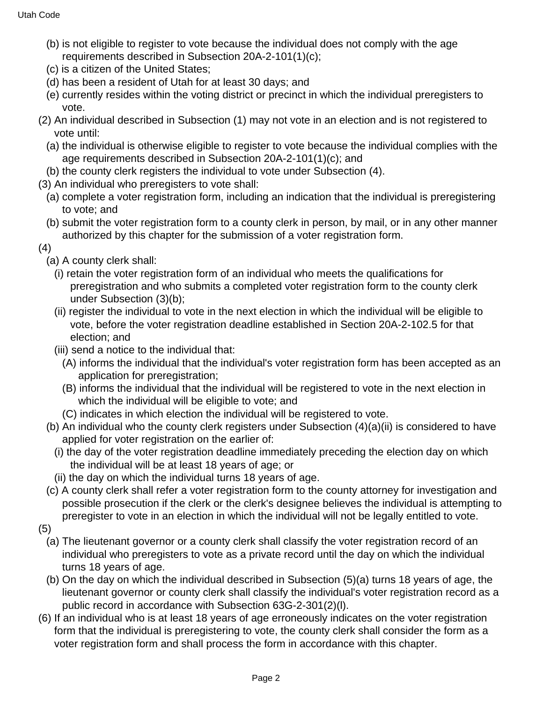- (b) is not eligible to register to vote because the individual does not comply with the age requirements described in Subsection 20A-2-101(1)(c);
- (c) is a citizen of the United States;
- (d) has been a resident of Utah for at least 30 days; and
- (e) currently resides within the voting district or precinct in which the individual preregisters to vote.
- (2) An individual described in Subsection (1) may not vote in an election and is not registered to vote until:
	- (a) the individual is otherwise eligible to register to vote because the individual complies with the age requirements described in Subsection 20A-2-101(1)(c); and
	- (b) the county clerk registers the individual to vote under Subsection (4).
- (3) An individual who preregisters to vote shall:
	- (a) complete a voter registration form, including an indication that the individual is preregistering to vote; and
	- (b) submit the voter registration form to a county clerk in person, by mail, or in any other manner authorized by this chapter for the submission of a voter registration form.
- (4)
	- (a) A county clerk shall:
		- (i) retain the voter registration form of an individual who meets the qualifications for preregistration and who submits a completed voter registration form to the county clerk under Subsection (3)(b);
		- (ii) register the individual to vote in the next election in which the individual will be eligible to vote, before the voter registration deadline established in Section 20A-2-102.5 for that election; and
		- (iii) send a notice to the individual that:
			- (A) informs the individual that the individual's voter registration form has been accepted as an application for preregistration;
			- (B) informs the individual that the individual will be registered to vote in the next election in which the individual will be eligible to vote; and
			- (C) indicates in which election the individual will be registered to vote.
	- (b) An individual who the county clerk registers under Subsection (4)(a)(ii) is considered to have applied for voter registration on the earlier of:
		- (i) the day of the voter registration deadline immediately preceding the election day on which the individual will be at least 18 years of age; or
		- (ii) the day on which the individual turns 18 years of age.
	- (c) A county clerk shall refer a voter registration form to the county attorney for investigation and possible prosecution if the clerk or the clerk's designee believes the individual is attempting to preregister to vote in an election in which the individual will not be legally entitled to vote.
- (5)
	- (a) The lieutenant governor or a county clerk shall classify the voter registration record of an individual who preregisters to vote as a private record until the day on which the individual turns 18 years of age.
	- (b) On the day on which the individual described in Subsection (5)(a) turns 18 years of age, the lieutenant governor or county clerk shall classify the individual's voter registration record as a public record in accordance with Subsection 63G-2-301(2)(l).
- (6) If an individual who is at least 18 years of age erroneously indicates on the voter registration form that the individual is preregistering to vote, the county clerk shall consider the form as a voter registration form and shall process the form in accordance with this chapter.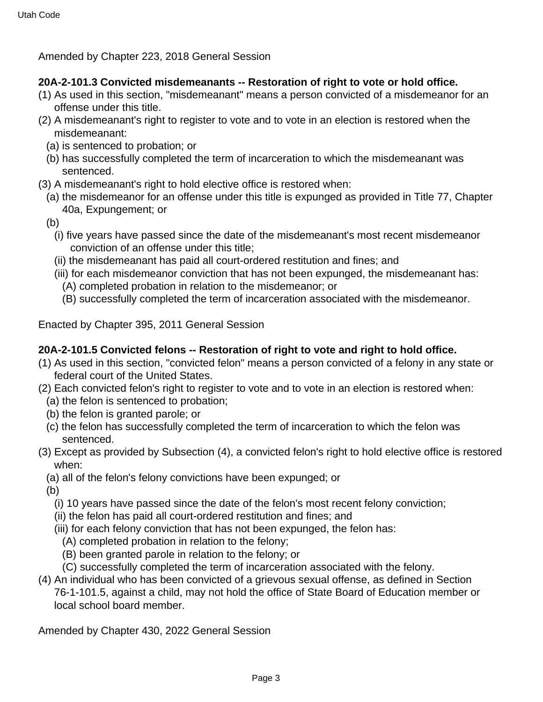Amended by Chapter 223, 2018 General Session

## **20A-2-101.3 Convicted misdemeanants -- Restoration of right to vote or hold office.**

- (1) As used in this section, "misdemeanant" means a person convicted of a misdemeanor for an offense under this title.
- (2) A misdemeanant's right to register to vote and to vote in an election is restored when the misdemeanant:
	- (a) is sentenced to probation; or
	- (b) has successfully completed the term of incarceration to which the misdemeanant was sentenced.
- (3) A misdemeanant's right to hold elective office is restored when:
	- (a) the misdemeanor for an offense under this title is expunged as provided in Title 77, Chapter 40a, Expungement; or
	- (b)
		- (i) five years have passed since the date of the misdemeanant's most recent misdemeanor conviction of an offense under this title;
		- (ii) the misdemeanant has paid all court-ordered restitution and fines; and
		- (iii) for each misdemeanor conviction that has not been expunged, the misdemeanant has:
			- (A) completed probation in relation to the misdemeanor; or
			- (B) successfully completed the term of incarceration associated with the misdemeanor.

Enacted by Chapter 395, 2011 General Session

## **20A-2-101.5 Convicted felons -- Restoration of right to vote and right to hold office.**

- (1) As used in this section, "convicted felon" means a person convicted of a felony in any state or federal court of the United States.
- (2) Each convicted felon's right to register to vote and to vote in an election is restored when:
	- (a) the felon is sentenced to probation;
	- (b) the felon is granted parole; or
	- (c) the felon has successfully completed the term of incarceration to which the felon was sentenced.
- (3) Except as provided by Subsection (4), a convicted felon's right to hold elective office is restored when:
	- (a) all of the felon's felony convictions have been expunged; or

(b)

- (i) 10 years have passed since the date of the felon's most recent felony conviction;
- (ii) the felon has paid all court-ordered restitution and fines; and
- (iii) for each felony conviction that has not been expunged, the felon has:
	- (A) completed probation in relation to the felony;
	- (B) been granted parole in relation to the felony; or
- (C) successfully completed the term of incarceration associated with the felony.
- (4) An individual who has been convicted of a grievous sexual offense, as defined in Section 76-1-101.5, against a child, may not hold the office of State Board of Education member or local school board member.

Amended by Chapter 430, 2022 General Session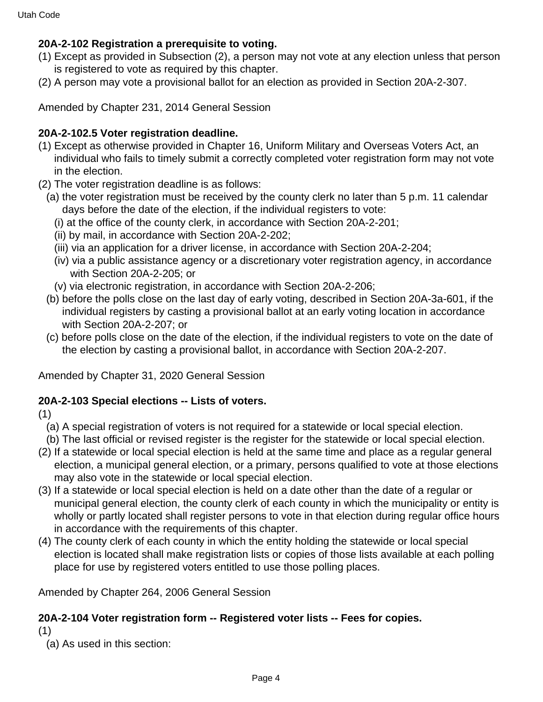# **20A-2-102 Registration a prerequisite to voting.**

- (1) Except as provided in Subsection (2), a person may not vote at any election unless that person is registered to vote as required by this chapter.
- (2) A person may vote a provisional ballot for an election as provided in Section 20A-2-307.

Amended by Chapter 231, 2014 General Session

## **20A-2-102.5 Voter registration deadline.**

- (1) Except as otherwise provided in Chapter 16, Uniform Military and Overseas Voters Act, an individual who fails to timely submit a correctly completed voter registration form may not vote in the election.
- (2) The voter registration deadline is as follows:
	- (a) the voter registration must be received by the county clerk no later than 5 p.m. 11 calendar days before the date of the election, if the individual registers to vote:
		- (i) at the office of the county clerk, in accordance with Section 20A-2-201;
		- (ii) by mail, in accordance with Section 20A-2-202;
		- (iii) via an application for a driver license, in accordance with Section 20A-2-204;
		- (iv) via a public assistance agency or a discretionary voter registration agency, in accordance with Section 20A-2-205; or
		- (v) via electronic registration, in accordance with Section 20A-2-206;
	- (b) before the polls close on the last day of early voting, described in Section 20A-3a-601, if the individual registers by casting a provisional ballot at an early voting location in accordance with Section 20A-2-207; or
	- (c) before polls close on the date of the election, if the individual registers to vote on the date of the election by casting a provisional ballot, in accordance with Section 20A-2-207.

Amended by Chapter 31, 2020 General Session

#### **20A-2-103 Special elections -- Lists of voters.**

(1)

- (a) A special registration of voters is not required for a statewide or local special election.
- (b) The last official or revised register is the register for the statewide or local special election.
- (2) If a statewide or local special election is held at the same time and place as a regular general election, a municipal general election, or a primary, persons qualified to vote at those elections may also vote in the statewide or local special election.
- (3) If a statewide or local special election is held on a date other than the date of a regular or municipal general election, the county clerk of each county in which the municipality or entity is wholly or partly located shall register persons to vote in that election during regular office hours in accordance with the requirements of this chapter.
- (4) The county clerk of each county in which the entity holding the statewide or local special election is located shall make registration lists or copies of those lists available at each polling place for use by registered voters entitled to use those polling places.

Amended by Chapter 264, 2006 General Session

#### **20A-2-104 Voter registration form -- Registered voter lists -- Fees for copies.**

(1)

(a) As used in this section: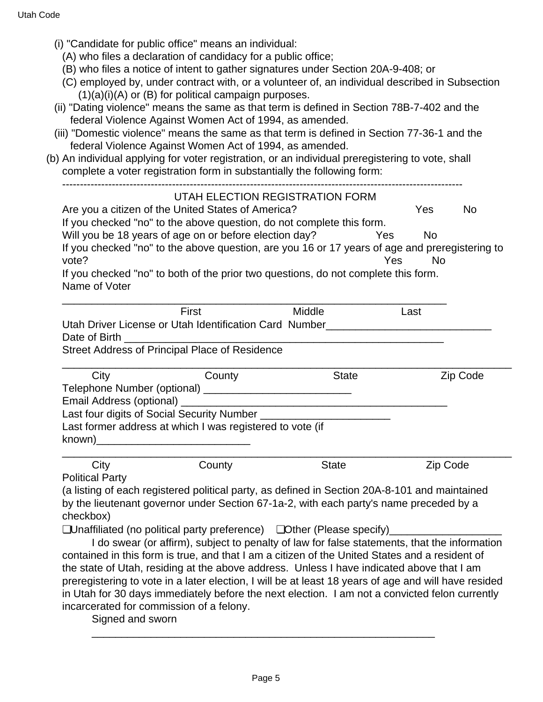- (i) "Candidate for public office" means an individual:
	- (A) who files a declaration of candidacy for a public office;
	- (B) who files a notice of intent to gather signatures under Section 20A-9-408; or
	- (C) employed by, under contract with, or a volunteer of, an individual described in Subsection  $(1)(a)(i)(A)$  or  $(B)$  for political campaign purposes.
- (ii) "Dating violence" means the same as that term is defined in Section 78B-7-402 and the federal Violence Against Women Act of 1994, as amended.
- (iii) "Domestic violence" means the same as that term is defined in Section 77-36-1 and the federal Violence Against Women Act of 1994, as amended.
- (b) An individual applying for voter registration, or an individual preregistering to vote, shall complete a voter registration form in substantially the following form:

-----------------------------------------------------------------------------------------------------------------

#### UTAH ELECTION REGISTRATION FORM

Are you a citizen of the United States of America? The Ves No If you checked "no" to the above question, do not complete this form. Will you be 18 years of age on or before election day? Yes No If you checked "no" to the above question, are you 16 or 17 years of age and preregistering to vote? Yes No If you checked "no" to both of the prior two questions, do not complete this form.

Name of Voter

| First                                                  | Middle | Last |
|--------------------------------------------------------|--------|------|
| Utah Driver License or Utah Identification Card Number |        |      |
| Date of Birth                                          |        |      |
| Street Address of Principal Place of Residence         |        |      |

| City | County                                                    | <b>State</b> | Zip Code |
|------|-----------------------------------------------------------|--------------|----------|
|      |                                                           |              |          |
|      |                                                           |              |          |
|      | Last four digits of Social Security Number                |              |          |
|      | Last former address at which I was registered to vote (if |              |          |
|      |                                                           |              |          |

| City                   | County | State | Zip Code |
|------------------------|--------|-------|----------|
| <b>Political Party</b> |        |       |          |

Political Party

(a listing of each registered political party, as defined in Section 20A-8-101 and maintained by the lieutenant governor under Section 67-1a-2, with each party's name preceded by a checkbox)

❏Unaffiliated (no political party preference) ❏Other (Please specify)\_\_\_\_\_\_\_\_\_\_\_\_\_\_\_\_\_\_\_

 I do swear (or affirm), subject to penalty of law for false statements, that the information contained in this form is true, and that I am a citizen of the United States and a resident of the state of Utah, residing at the above address. Unless I have indicated above that I am preregistering to vote in a later election, I will be at least 18 years of age and will have resided in Utah for 30 days immediately before the next election. I am not a convicted felon currently incarcerated for commission of a felony.

Signed and sworn

\_\_\_\_\_\_\_\_\_\_\_\_\_\_\_\_\_\_\_\_\_\_\_\_\_\_\_\_\_\_\_\_\_\_\_\_\_\_\_\_\_\_\_\_\_\_\_\_\_\_\_\_\_\_\_\_\_\_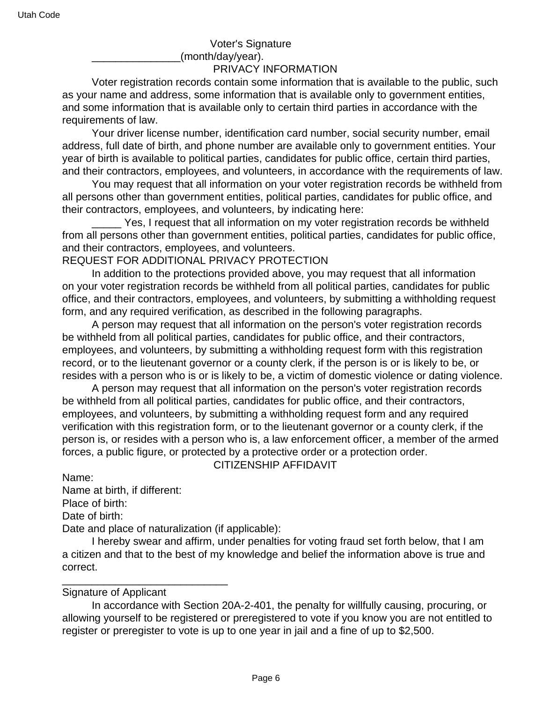Voter's Signature (month/day/year).

#### PRIVACY INFORMATION

 Voter registration records contain some information that is available to the public, such as your name and address, some information that is available only to government entities, and some information that is available only to certain third parties in accordance with the requirements of law.

 Your driver license number, identification card number, social security number, email address, full date of birth, and phone number are available only to government entities. Your year of birth is available to political parties, candidates for public office, certain third parties, and their contractors, employees, and volunteers, in accordance with the requirements of law.

 You may request that all information on your voter registration records be withheld from all persons other than government entities, political parties, candidates for public office, and their contractors, employees, and volunteers, by indicating here:

 \_\_\_\_\_ Yes, I request that all information on my voter registration records be withheld from all persons other than government entities, political parties, candidates for public office, and their contractors, employees, and volunteers.

REQUEST FOR ADDITIONAL PRIVACY PROTECTION

 In addition to the protections provided above, you may request that all information on your voter registration records be withheld from all political parties, candidates for public office, and their contractors, employees, and volunteers, by submitting a withholding request form, and any required verification, as described in the following paragraphs.

 A person may request that all information on the person's voter registration records be withheld from all political parties, candidates for public office, and their contractors, employees, and volunteers, by submitting a withholding request form with this registration record, or to the lieutenant governor or a county clerk, if the person is or is likely to be, or resides with a person who is or is likely to be, a victim of domestic violence or dating violence.

 A person may request that all information on the person's voter registration records be withheld from all political parties, candidates for public office, and their contractors, employees, and volunteers, by submitting a withholding request form and any required verification with this registration form, or to the lieutenant governor or a county clerk, if the person is, or resides with a person who is, a law enforcement officer, a member of the armed forces, a public figure, or protected by a protective order or a protection order. CITIZENSHIP AFFIDAVIT

Name:

Name at birth, if different:

Place of birth:

Date of birth:

Date and place of naturalization (if applicable):

 I hereby swear and affirm, under penalties for voting fraud set forth below, that I am a citizen and that to the best of my knowledge and belief the information above is true and correct.

#### Signature of Applicant

\_\_\_\_\_\_\_\_\_\_\_\_\_\_\_\_\_\_\_\_\_\_\_\_\_\_\_\_

 In accordance with Section 20A-2-401, the penalty for willfully causing, procuring, or allowing yourself to be registered or preregistered to vote if you know you are not entitled to register or preregister to vote is up to one year in jail and a fine of up to \$2,500.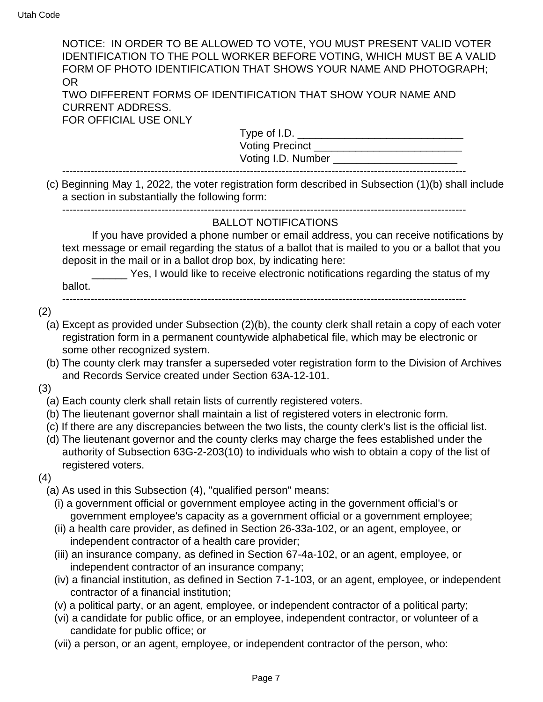|     | NOTICE: IN ORDER TO BE ALLOWED TO VOTE, YOU MUST PRESENT VALID VOTER<br><b>IDENTIFICATION TO THE POLL WORKER BEFORE VOTING, WHICH MUST BE A VALID</b><br>FORM OF PHOTO IDENTIFICATION THAT SHOWS YOUR NAME AND PHOTOGRAPH;<br><b>OR</b>                                                                                                                                                                                                                                                                 |
|-----|---------------------------------------------------------------------------------------------------------------------------------------------------------------------------------------------------------------------------------------------------------------------------------------------------------------------------------------------------------------------------------------------------------------------------------------------------------------------------------------------------------|
|     | TWO DIFFERENT FORMS OF IDENTIFICATION THAT SHOW YOUR NAME AND<br><b>CURRENT ADDRESS.</b><br>FOR OFFICIAL USE ONLY                                                                                                                                                                                                                                                                                                                                                                                       |
|     | Type of I.D.                                                                                                                                                                                                                                                                                                                                                                                                                                                                                            |
|     |                                                                                                                                                                                                                                                                                                                                                                                                                                                                                                         |
|     | Voting I.D. Number __________________________                                                                                                                                                                                                                                                                                                                                                                                                                                                           |
|     | (c) Beginning May 1, 2022, the voter registration form described in Subsection (1)(b) shall include<br>a section in substantially the following form:                                                                                                                                                                                                                                                                                                                                                   |
|     | <b>BALLOT NOTIFICATIONS</b>                                                                                                                                                                                                                                                                                                                                                                                                                                                                             |
|     | If you have provided a phone number or email address, you can receive notifications by<br>text message or email regarding the status of a ballot that is mailed to you or a ballot that you<br>deposit in the mail or in a ballot drop box, by indicating here:                                                                                                                                                                                                                                         |
|     | Yes, I would like to receive electronic notifications regarding the status of my                                                                                                                                                                                                                                                                                                                                                                                                                        |
|     | ballot.                                                                                                                                                                                                                                                                                                                                                                                                                                                                                                 |
| (2) |                                                                                                                                                                                                                                                                                                                                                                                                                                                                                                         |
|     | (a) Except as provided under Subsection (2)(b), the county clerk shall retain a copy of each voter<br>registration form in a permanent countywide alphabetical file, which may be electronic or<br>some other recognized system.                                                                                                                                                                                                                                                                        |
|     | (b) The county clerk may transfer a superseded voter registration form to the Division of Archives                                                                                                                                                                                                                                                                                                                                                                                                      |
|     | and Records Service created under Section 63A-12-101.                                                                                                                                                                                                                                                                                                                                                                                                                                                   |
| (3) |                                                                                                                                                                                                                                                                                                                                                                                                                                                                                                         |
| (4) | (a) Each county clerk shall retain lists of currently registered voters.<br>(b) The lieutenant governor shall maintain a list of registered voters in electronic form.<br>(c) If there are any discrepancies between the two lists, the county clerk's list is the official list.<br>(d) The lieutenant governor and the county clerks may charge the fees established under the<br>authority of Subsection 63G-2-203(10) to individuals who wish to obtain a copy of the list of<br>registered voters. |
|     | (a) As used in this Subsection (4), "qualified person" means:                                                                                                                                                                                                                                                                                                                                                                                                                                           |
|     | (i) a government official or government employee acting in the government official's or<br>government employee's capacity as a government official or a government employee;<br>(ii) a health care provider, as defined in Section 26-33a-102, or an agent, employee, or<br>independent contractor of a health care provider;                                                                                                                                                                           |
|     | (iii) an insurance company, as defined in Section 67-4a-102, or an agent, employee, or                                                                                                                                                                                                                                                                                                                                                                                                                  |
|     | independent contractor of an insurance company;                                                                                                                                                                                                                                                                                                                                                                                                                                                         |
|     | (iv) a financial institution, as defined in Section 7-1-103, or an agent, employee, or independent<br>contractor of a financial institution;                                                                                                                                                                                                                                                                                                                                                            |
|     | (v) a political party, or an agent, employee, or independent contractor of a political party;                                                                                                                                                                                                                                                                                                                                                                                                           |
|     | (vi) a candidate for public office, or an employee, independent contractor, or volunteer of a<br>candidate for public office; or                                                                                                                                                                                                                                                                                                                                                                        |
|     | (vii) a person, or an agent, employee, or independent contractor of the person, who:                                                                                                                                                                                                                                                                                                                                                                                                                    |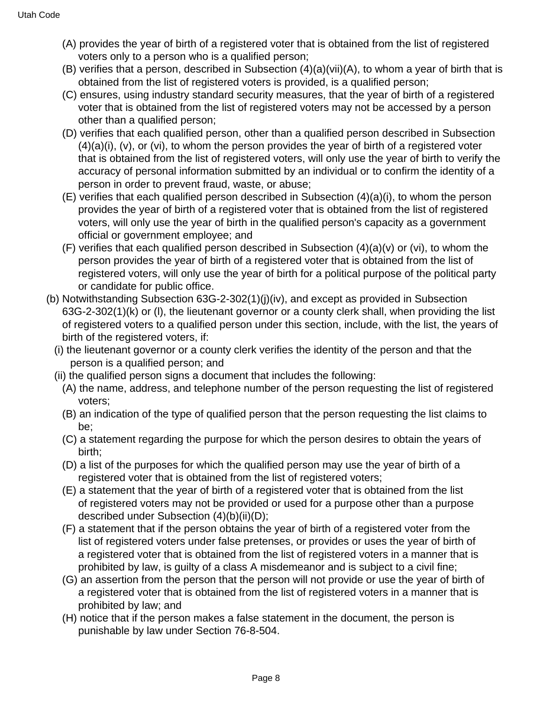- (A) provides the year of birth of a registered voter that is obtained from the list of registered voters only to a person who is a qualified person;
- (B) verifies that a person, described in Subsection  $(4)(a)(vi)(A)$ , to whom a year of birth that is obtained from the list of registered voters is provided, is a qualified person;
- (C) ensures, using industry standard security measures, that the year of birth of a registered voter that is obtained from the list of registered voters may not be accessed by a person other than a qualified person;
- (D) verifies that each qualified person, other than a qualified person described in Subsection  $(4)(a)(i)$ ,  $(v)$ , or  $(vi)$ , to whom the person provides the year of birth of a registered voter that is obtained from the list of registered voters, will only use the year of birth to verify the accuracy of personal information submitted by an individual or to confirm the identity of a person in order to prevent fraud, waste, or abuse;
- (E) verifies that each qualified person described in Subsection (4)(a)(i), to whom the person provides the year of birth of a registered voter that is obtained from the list of registered voters, will only use the year of birth in the qualified person's capacity as a government official or government employee; and
- $(F)$  verifies that each qualified person described in Subsection  $(4)(a)(v)$  or (vi), to whom the person provides the year of birth of a registered voter that is obtained from the list of registered voters, will only use the year of birth for a political purpose of the political party or candidate for public office.
- (b) Notwithstanding Subsection 63G-2-302(1)(j)(iv), and except as provided in Subsection 63G-2-302(1)(k) or (l), the lieutenant governor or a county clerk shall, when providing the list of registered voters to a qualified person under this section, include, with the list, the years of birth of the registered voters, if:
	- (i) the lieutenant governor or a county clerk verifies the identity of the person and that the person is a qualified person; and
	- (ii) the qualified person signs a document that includes the following:
		- (A) the name, address, and telephone number of the person requesting the list of registered voters;
		- (B) an indication of the type of qualified person that the person requesting the list claims to be;
		- (C) a statement regarding the purpose for which the person desires to obtain the years of birth;
		- (D) a list of the purposes for which the qualified person may use the year of birth of a registered voter that is obtained from the list of registered voters;
		- (E) a statement that the year of birth of a registered voter that is obtained from the list of registered voters may not be provided or used for a purpose other than a purpose described under Subsection (4)(b)(ii)(D);
		- (F) a statement that if the person obtains the year of birth of a registered voter from the list of registered voters under false pretenses, or provides or uses the year of birth of a registered voter that is obtained from the list of registered voters in a manner that is prohibited by law, is guilty of a class A misdemeanor and is subject to a civil fine;
		- (G) an assertion from the person that the person will not provide or use the year of birth of a registered voter that is obtained from the list of registered voters in a manner that is prohibited by law; and
		- (H) notice that if the person makes a false statement in the document, the person is punishable by law under Section 76-8-504.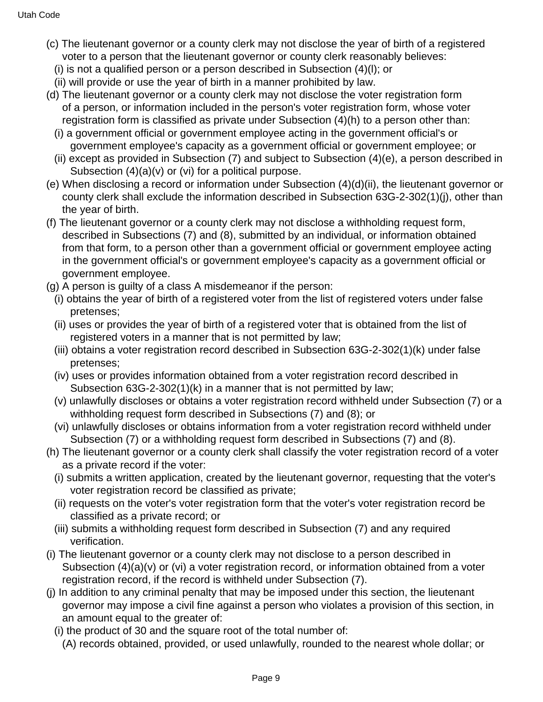- (c) The lieutenant governor or a county clerk may not disclose the year of birth of a registered voter to a person that the lieutenant governor or county clerk reasonably believes:
	- (i) is not a qualified person or a person described in Subsection (4)(l); or
	- (ii) will provide or use the year of birth in a manner prohibited by law.
- (d) The lieutenant governor or a county clerk may not disclose the voter registration form of a person, or information included in the person's voter registration form, whose voter registration form is classified as private under Subsection (4)(h) to a person other than:
	- (i) a government official or government employee acting in the government official's or government employee's capacity as a government official or government employee; or
	- (ii) except as provided in Subsection (7) and subject to Subsection (4)(e), a person described in Subsection (4)(a)(v) or (vi) for a political purpose.
- (e) When disclosing a record or information under Subsection (4)(d)(ii), the lieutenant governor or county clerk shall exclude the information described in Subsection 63G-2-302(1)(j), other than the year of birth.
- (f) The lieutenant governor or a county clerk may not disclose a withholding request form, described in Subsections (7) and (8), submitted by an individual, or information obtained from that form, to a person other than a government official or government employee acting in the government official's or government employee's capacity as a government official or government employee.
- (g) A person is guilty of a class A misdemeanor if the person:
	- (i) obtains the year of birth of a registered voter from the list of registered voters under false pretenses;
	- (ii) uses or provides the year of birth of a registered voter that is obtained from the list of registered voters in a manner that is not permitted by law;
	- (iii) obtains a voter registration record described in Subsection 63G-2-302(1)(k) under false pretenses;
	- (iv) uses or provides information obtained from a voter registration record described in Subsection 63G-2-302(1)(k) in a manner that is not permitted by law;
	- (v) unlawfully discloses or obtains a voter registration record withheld under Subsection (7) or a withholding request form described in Subsections (7) and (8); or
	- (vi) unlawfully discloses or obtains information from a voter registration record withheld under Subsection (7) or a withholding request form described in Subsections (7) and (8).
- (h) The lieutenant governor or a county clerk shall classify the voter registration record of a voter as a private record if the voter:
	- (i) submits a written application, created by the lieutenant governor, requesting that the voter's voter registration record be classified as private;
	- (ii) requests on the voter's voter registration form that the voter's voter registration record be classified as a private record; or
	- (iii) submits a withholding request form described in Subsection (7) and any required verification.
- (i) The lieutenant governor or a county clerk may not disclose to a person described in Subsection (4)(a)(v) or (vi) a voter registration record, or information obtained from a voter registration record, if the record is withheld under Subsection (7).
- (j) In addition to any criminal penalty that may be imposed under this section, the lieutenant governor may impose a civil fine against a person who violates a provision of this section, in an amount equal to the greater of:
	- (i) the product of 30 and the square root of the total number of:
		- (A) records obtained, provided, or used unlawfully, rounded to the nearest whole dollar; or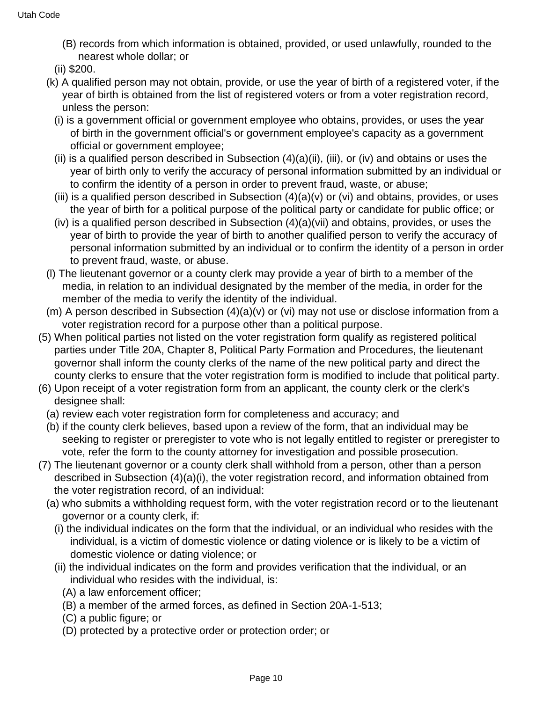- (B) records from which information is obtained, provided, or used unlawfully, rounded to the nearest whole dollar; or
- (ii) \$200.
- (k) A qualified person may not obtain, provide, or use the year of birth of a registered voter, if the year of birth is obtained from the list of registered voters or from a voter registration record, unless the person:
	- (i) is a government official or government employee who obtains, provides, or uses the year of birth in the government official's or government employee's capacity as a government official or government employee;
	- (ii) is a qualified person described in Subsection  $(4)(a)(ii)$ , (iii), or (iv) and obtains or uses the year of birth only to verify the accuracy of personal information submitted by an individual or to confirm the identity of a person in order to prevent fraud, waste, or abuse;
	- (iii) is a qualified person described in Subsection  $(4)(a)(v)$  or (vi) and obtains, provides, or uses the year of birth for a political purpose of the political party or candidate for public office; or
	- (iv) is a qualified person described in Subsection  $(4)(a)(vi)$  and obtains, provides, or uses the year of birth to provide the year of birth to another qualified person to verify the accuracy of personal information submitted by an individual or to confirm the identity of a person in order to prevent fraud, waste, or abuse.
- (l) The lieutenant governor or a county clerk may provide a year of birth to a member of the media, in relation to an individual designated by the member of the media, in order for the member of the media to verify the identity of the individual.
- (m) A person described in Subsection (4)(a)(v) or (vi) may not use or disclose information from a voter registration record for a purpose other than a political purpose.
- (5) When political parties not listed on the voter registration form qualify as registered political parties under Title 20A, Chapter 8, Political Party Formation and Procedures, the lieutenant governor shall inform the county clerks of the name of the new political party and direct the county clerks to ensure that the voter registration form is modified to include that political party.
- (6) Upon receipt of a voter registration form from an applicant, the county clerk or the clerk's designee shall:
	- (a) review each voter registration form for completeness and accuracy; and
	- (b) if the county clerk believes, based upon a review of the form, that an individual may be seeking to register or preregister to vote who is not legally entitled to register or preregister to vote, refer the form to the county attorney for investigation and possible prosecution.
- (7) The lieutenant governor or a county clerk shall withhold from a person, other than a person described in Subsection (4)(a)(i), the voter registration record, and information obtained from the voter registration record, of an individual:
	- (a) who submits a withholding request form, with the voter registration record or to the lieutenant governor or a county clerk, if:
		- (i) the individual indicates on the form that the individual, or an individual who resides with the individual, is a victim of domestic violence or dating violence or is likely to be a victim of domestic violence or dating violence; or
		- (ii) the individual indicates on the form and provides verification that the individual, or an individual who resides with the individual, is:
			- (A) a law enforcement officer;
			- (B) a member of the armed forces, as defined in Section 20A-1-513;
			- (C) a public figure; or
			- (D) protected by a protective order or protection order; or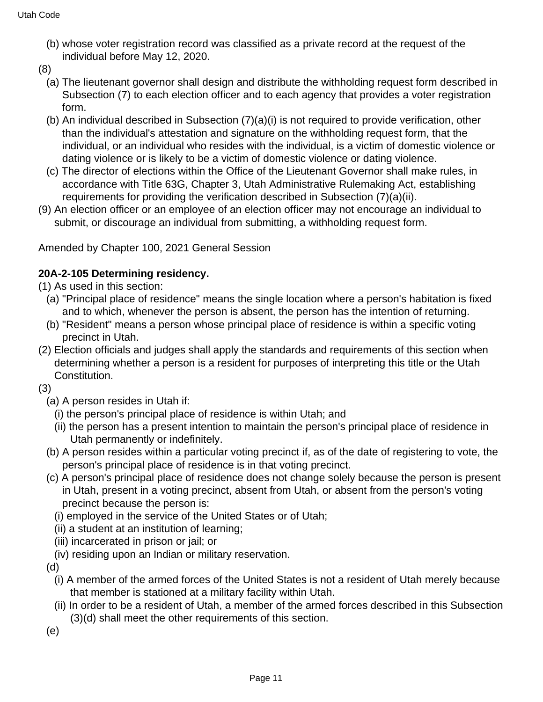- (b) whose voter registration record was classified as a private record at the request of the individual before May 12, 2020.
- (8)
	- (a) The lieutenant governor shall design and distribute the withholding request form described in Subsection (7) to each election officer and to each agency that provides a voter registration form.
	- (b) An individual described in Subsection (7)(a)(i) is not required to provide verification, other than the individual's attestation and signature on the withholding request form, that the individual, or an individual who resides with the individual, is a victim of domestic violence or dating violence or is likely to be a victim of domestic violence or dating violence.
	- (c) The director of elections within the Office of the Lieutenant Governor shall make rules, in accordance with Title 63G, Chapter 3, Utah Administrative Rulemaking Act, establishing requirements for providing the verification described in Subsection (7)(a)(ii).
- (9) An election officer or an employee of an election officer may not encourage an individual to submit, or discourage an individual from submitting, a withholding request form.

Amended by Chapter 100, 2021 General Session

# **20A-2-105 Determining residency.**

- (1) As used in this section:
	- (a) "Principal place of residence" means the single location where a person's habitation is fixed and to which, whenever the person is absent, the person has the intention of returning.
	- (b) "Resident" means a person whose principal place of residence is within a specific voting precinct in Utah.
- (2) Election officials and judges shall apply the standards and requirements of this section when determining whether a person is a resident for purposes of interpreting this title or the Utah Constitution.
- (3)
	- (a) A person resides in Utah if:
		- (i) the person's principal place of residence is within Utah; and
		- (ii) the person has a present intention to maintain the person's principal place of residence in Utah permanently or indefinitely.
	- (b) A person resides within a particular voting precinct if, as of the date of registering to vote, the person's principal place of residence is in that voting precinct.
	- (c) A person's principal place of residence does not change solely because the person is present in Utah, present in a voting precinct, absent from Utah, or absent from the person's voting precinct because the person is:
		- (i) employed in the service of the United States or of Utah;
		- (ii) a student at an institution of learning;
		- (iii) incarcerated in prison or jail; or
		- (iv) residing upon an Indian or military reservation.
	- (d)
		- (i) A member of the armed forces of the United States is not a resident of Utah merely because that member is stationed at a military facility within Utah.
		- (ii) In order to be a resident of Utah, a member of the armed forces described in this Subsection (3)(d) shall meet the other requirements of this section.

(e)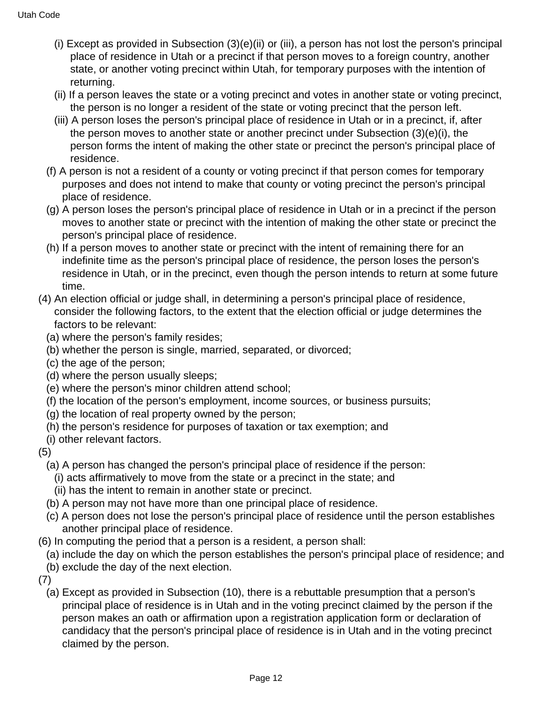- (i) Except as provided in Subsection (3)(e)(ii) or (iii), a person has not lost the person's principal place of residence in Utah or a precinct if that person moves to a foreign country, another state, or another voting precinct within Utah, for temporary purposes with the intention of returning.
- (ii) If a person leaves the state or a voting precinct and votes in another state or voting precinct, the person is no longer a resident of the state or voting precinct that the person left.
- (iii) A person loses the person's principal place of residence in Utah or in a precinct, if, after the person moves to another state or another precinct under Subsection (3)(e)(i), the person forms the intent of making the other state or precinct the person's principal place of residence.
- (f) A person is not a resident of a county or voting precinct if that person comes for temporary purposes and does not intend to make that county or voting precinct the person's principal place of residence.
- (g) A person loses the person's principal place of residence in Utah or in a precinct if the person moves to another state or precinct with the intention of making the other state or precinct the person's principal place of residence.
- (h) If a person moves to another state or precinct with the intent of remaining there for an indefinite time as the person's principal place of residence, the person loses the person's residence in Utah, or in the precinct, even though the person intends to return at some future time.
- (4) An election official or judge shall, in determining a person's principal place of residence, consider the following factors, to the extent that the election official or judge determines the factors to be relevant:
	- (a) where the person's family resides;
	- (b) whether the person is single, married, separated, or divorced;
	- (c) the age of the person;
	- (d) where the person usually sleeps;
	- (e) where the person's minor children attend school;
	- (f) the location of the person's employment, income sources, or business pursuits;
	- (g) the location of real property owned by the person;
	- (h) the person's residence for purposes of taxation or tax exemption; and
	- (i) other relevant factors.

# (5)

- (a) A person has changed the person's principal place of residence if the person:
- (i) acts affirmatively to move from the state or a precinct in the state; and
- (ii) has the intent to remain in another state or precinct.
- (b) A person may not have more than one principal place of residence.
- (c) A person does not lose the person's principal place of residence until the person establishes another principal place of residence.
- (6) In computing the period that a person is a resident, a person shall:
	- (a) include the day on which the person establishes the person's principal place of residence; and
	- (b) exclude the day of the next election.
- (7)
	- (a) Except as provided in Subsection (10), there is a rebuttable presumption that a person's principal place of residence is in Utah and in the voting precinct claimed by the person if the person makes an oath or affirmation upon a registration application form or declaration of candidacy that the person's principal place of residence is in Utah and in the voting precinct claimed by the person.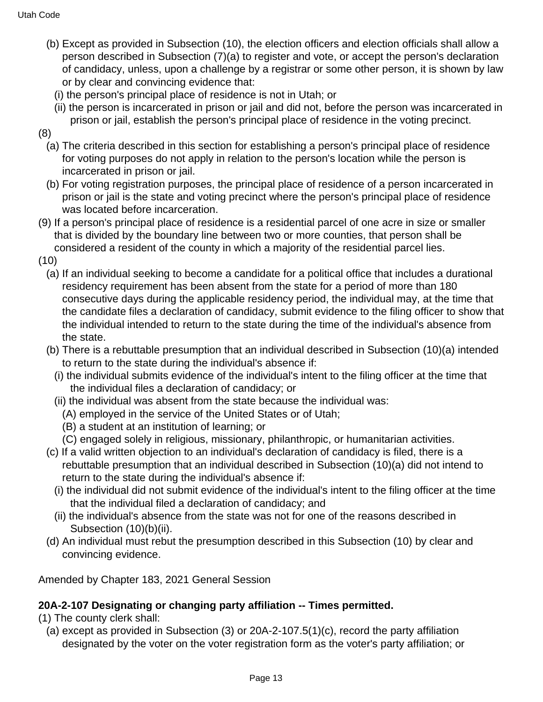- (b) Except as provided in Subsection (10), the election officers and election officials shall allow a person described in Subsection (7)(a) to register and vote, or accept the person's declaration of candidacy, unless, upon a challenge by a registrar or some other person, it is shown by law or by clear and convincing evidence that:
	- (i) the person's principal place of residence is not in Utah; or
	- (ii) the person is incarcerated in prison or jail and did not, before the person was incarcerated in prison or jail, establish the person's principal place of residence in the voting precinct.
- (8)
	- (a) The criteria described in this section for establishing a person's principal place of residence for voting purposes do not apply in relation to the person's location while the person is incarcerated in prison or jail.
	- (b) For voting registration purposes, the principal place of residence of a person incarcerated in prison or jail is the state and voting precinct where the person's principal place of residence was located before incarceration.
- (9) If a person's principal place of residence is a residential parcel of one acre in size or smaller that is divided by the boundary line between two or more counties, that person shall be considered a resident of the county in which a majority of the residential parcel lies.
- (10)
	- (a) If an individual seeking to become a candidate for a political office that includes a durational residency requirement has been absent from the state for a period of more than 180 consecutive days during the applicable residency period, the individual may, at the time that the candidate files a declaration of candidacy, submit evidence to the filing officer to show that the individual intended to return to the state during the time of the individual's absence from the state.
	- (b) There is a rebuttable presumption that an individual described in Subsection (10)(a) intended to return to the state during the individual's absence if:
		- (i) the individual submits evidence of the individual's intent to the filing officer at the time that the individual files a declaration of candidacy; or
		- (ii) the individual was absent from the state because the individual was:
			- (A) employed in the service of the United States or of Utah;
			- (B) a student at an institution of learning; or
			- (C) engaged solely in religious, missionary, philanthropic, or humanitarian activities.
	- (c) If a valid written objection to an individual's declaration of candidacy is filed, there is a rebuttable presumption that an individual described in Subsection (10)(a) did not intend to return to the state during the individual's absence if:
		- (i) the individual did not submit evidence of the individual's intent to the filing officer at the time that the individual filed a declaration of candidacy; and
		- (ii) the individual's absence from the state was not for one of the reasons described in Subsection (10)(b)(ii).
	- (d) An individual must rebut the presumption described in this Subsection (10) by clear and convincing evidence.

Amended by Chapter 183, 2021 General Session

# **20A-2-107 Designating or changing party affiliation -- Times permitted.**

- (1) The county clerk shall:
	- (a) except as provided in Subsection (3) or 20A-2-107.5(1)(c), record the party affiliation designated by the voter on the voter registration form as the voter's party affiliation; or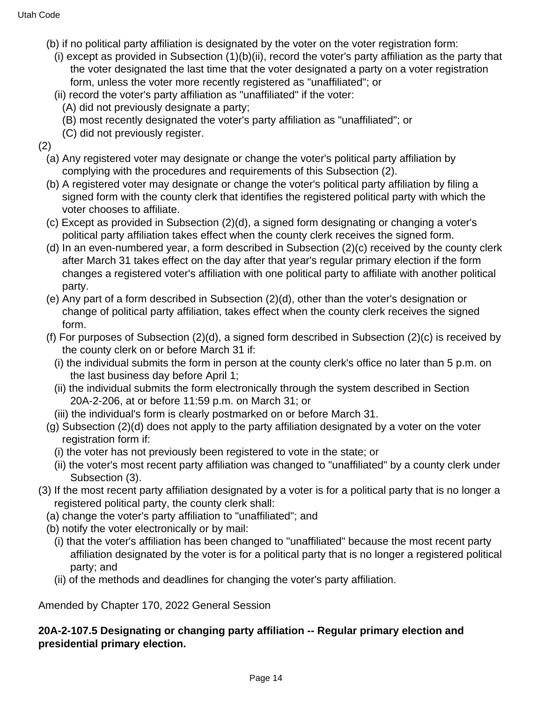- (b) if no political party affiliation is designated by the voter on the voter registration form:
	- (i) except as provided in Subsection (1)(b)(ii), record the voter's party affiliation as the party that the voter designated the last time that the voter designated a party on a voter registration form, unless the voter more recently registered as "unaffiliated"; or
	- (ii) record the voter's party affiliation as "unaffiliated" if the voter:
		- (A) did not previously designate a party;
		- (B) most recently designated the voter's party affiliation as "unaffiliated"; or
		- (C) did not previously register.

(2)

- (a) Any registered voter may designate or change the voter's political party affiliation by complying with the procedures and requirements of this Subsection (2).
- (b) A registered voter may designate or change the voter's political party affiliation by filing a signed form with the county clerk that identifies the registered political party with which the voter chooses to affiliate.
- (c) Except as provided in Subsection (2)(d), a signed form designating or changing a voter's political party affiliation takes effect when the county clerk receives the signed form.
- (d) In an even-numbered year, a form described in Subsection (2)(c) received by the county clerk after March 31 takes effect on the day after that year's regular primary election if the form changes a registered voter's affiliation with one political party to affiliate with another political party.
- (e) Any part of a form described in Subsection (2)(d), other than the voter's designation or change of political party affiliation, takes effect when the county clerk receives the signed form.
- (f) For purposes of Subsection (2)(d), a signed form described in Subsection (2)(c) is received by the county clerk on or before March 31 if:
	- (i) the individual submits the form in person at the county clerk's office no later than 5 p.m. on the last business day before April 1;
	- (ii) the individual submits the form electronically through the system described in Section 20A-2-206, at or before 11:59 p.m. on March 31; or
	- (iii) the individual's form is clearly postmarked on or before March 31.
- (g) Subsection (2)(d) does not apply to the party affiliation designated by a voter on the voter registration form if:
	- (i) the voter has not previously been registered to vote in the state; or
	- (ii) the voter's most recent party affiliation was changed to "unaffiliated" by a county clerk under Subsection (3).
- (3) If the most recent party affiliation designated by a voter is for a political party that is no longer a registered political party, the county clerk shall:
	- (a) change the voter's party affiliation to "unaffiliated"; and
	- (b) notify the voter electronically or by mail:
		- (i) that the voter's affiliation has been changed to "unaffiliated" because the most recent party affiliation designated by the voter is for a political party that is no longer a registered political party; and
		- (ii) of the methods and deadlines for changing the voter's party affiliation.

Amended by Chapter 170, 2022 General Session

**20A-2-107.5 Designating or changing party affiliation -- Regular primary election and presidential primary election.**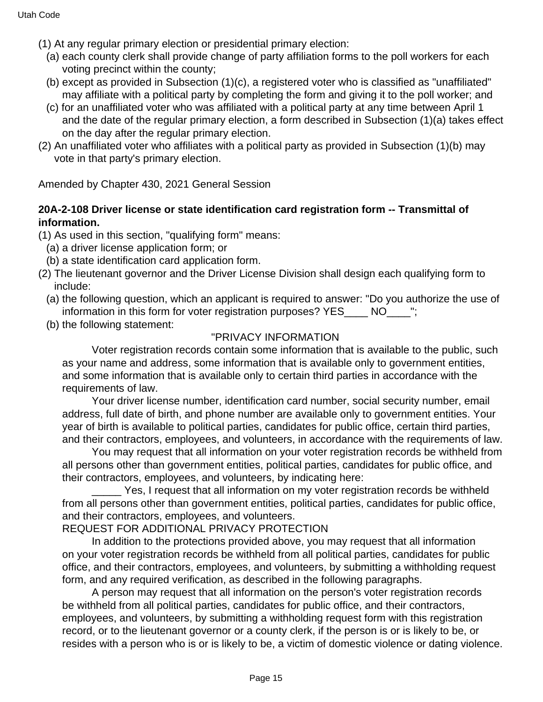- (1) At any regular primary election or presidential primary election:
	- (a) each county clerk shall provide change of party affiliation forms to the poll workers for each voting precinct within the county;
	- (b) except as provided in Subsection (1)(c), a registered voter who is classified as "unaffiliated" may affiliate with a political party by completing the form and giving it to the poll worker; and
	- (c) for an unaffiliated voter who was affiliated with a political party at any time between April 1 and the date of the regular primary election, a form described in Subsection (1)(a) takes effect on the day after the regular primary election.
- (2) An unaffiliated voter who affiliates with a political party as provided in Subsection (1)(b) may vote in that party's primary election.

Amended by Chapter 430, 2021 General Session

## **20A-2-108 Driver license or state identification card registration form -- Transmittal of information.**

(1) As used in this section, "qualifying form" means:

- (a) a driver license application form; or
- (b) a state identification card application form.
- (2) The lieutenant governor and the Driver License Division shall design each qualifying form to include:
	- (a) the following question, which an applicant is required to answer: "Do you authorize the use of information in this form for voter registration purposes? YES\_\_\_\_ NO\_\_\_\_";
	- (b) the following statement:

## "PRIVACY INFORMATION

 Voter registration records contain some information that is available to the public, such as your name and address, some information that is available only to government entities, and some information that is available only to certain third parties in accordance with the requirements of law.

 Your driver license number, identification card number, social security number, email address, full date of birth, and phone number are available only to government entities. Your year of birth is available to political parties, candidates for public office, certain third parties, and their contractors, employees, and volunteers, in accordance with the requirements of law.

 You may request that all information on your voter registration records be withheld from all persons other than government entities, political parties, candidates for public office, and their contractors, employees, and volunteers, by indicating here:

Yes, I request that all information on my voter registration records be withheld from all persons other than government entities, political parties, candidates for public office, and their contractors, employees, and volunteers.

REQUEST FOR ADDITIONAL PRIVACY PROTECTION

 In addition to the protections provided above, you may request that all information on your voter registration records be withheld from all political parties, candidates for public office, and their contractors, employees, and volunteers, by submitting a withholding request form, and any required verification, as described in the following paragraphs.

 A person may request that all information on the person's voter registration records be withheld from all political parties, candidates for public office, and their contractors, employees, and volunteers, by submitting a withholding request form with this registration record, or to the lieutenant governor or a county clerk, if the person is or is likely to be, or resides with a person who is or is likely to be, a victim of domestic violence or dating violence.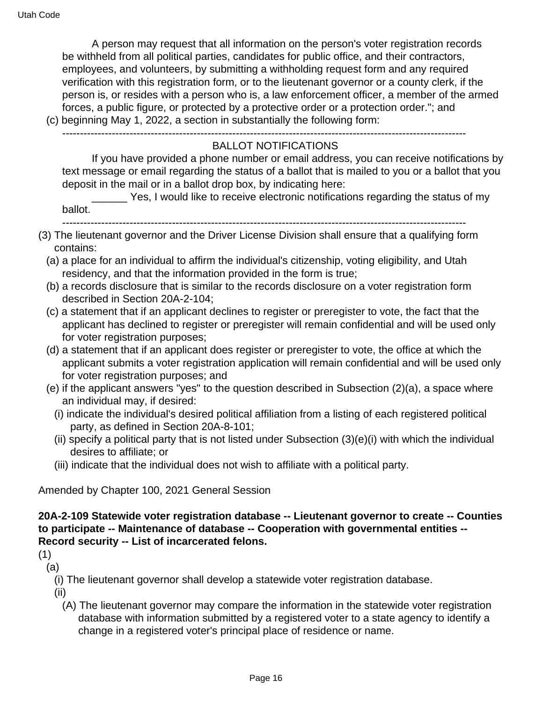A person may request that all information on the person's voter registration records be withheld from all political parties, candidates for public office, and their contractors, employees, and volunteers, by submitting a withholding request form and any required verification with this registration form, or to the lieutenant governor or a county clerk, if the person is, or resides with a person who is, a law enforcement officer, a member of the armed forces, a public figure, or protected by a protective order or a protection order."; and (c) beginning May 1, 2022, a section in substantially the following form:

------------------------------------------------------------------------------------------------------------------

#### BALLOT NOTIFICATIONS

 If you have provided a phone number or email address, you can receive notifications by text message or email regarding the status of a ballot that is mailed to you or a ballot that you deposit in the mail or in a ballot drop box, by indicating here:

Yes, I would like to receive electronic notifications regarding the status of my ballot.

- ------------------------------------------------------------------------------------------------------------------
- (3) The lieutenant governor and the Driver License Division shall ensure that a qualifying form contains:
	- (a) a place for an individual to affirm the individual's citizenship, voting eligibility, and Utah residency, and that the information provided in the form is true;
	- (b) a records disclosure that is similar to the records disclosure on a voter registration form described in Section 20A-2-104;
	- (c) a statement that if an applicant declines to register or preregister to vote, the fact that the applicant has declined to register or preregister will remain confidential and will be used only for voter registration purposes;
	- (d) a statement that if an applicant does register or preregister to vote, the office at which the applicant submits a voter registration application will remain confidential and will be used only for voter registration purposes; and
	- (e) if the applicant answers "yes" to the question described in Subsection (2)(a), a space where an individual may, if desired:
		- (i) indicate the individual's desired political affiliation from a listing of each registered political party, as defined in Section 20A-8-101;
		- (ii) specify a political party that is not listed under Subsection (3)(e)(i) with which the individual desires to affiliate; or
		- (iii) indicate that the individual does not wish to affiliate with a political party.

Amended by Chapter 100, 2021 General Session

## **20A-2-109 Statewide voter registration database -- Lieutenant governor to create -- Counties to participate -- Maintenance of database -- Cooperation with governmental entities -- Record security -- List of incarcerated felons.**

(1)

- (a)
	- (i) The lieutenant governor shall develop a statewide voter registration database.
	- (ii)
		- (A) The lieutenant governor may compare the information in the statewide voter registration database with information submitted by a registered voter to a state agency to identify a change in a registered voter's principal place of residence or name.